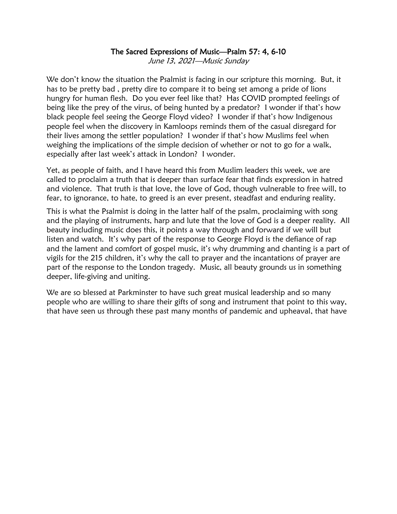## The Sacred Expressions of Music—Psalm 57: 4, 6-10

June 13, 2021—Music Sunday

We don't know the situation the Psalmist is facing in our scripture this morning. But, it has to be pretty bad , pretty dire to compare it to being set among a pride of lions hungry for human flesh. Do you ever feel like that? Has COVID prompted feelings of being like the prey of the virus, of being hunted by a predator? I wonder if that's how black people feel seeing the George Floyd video? I wonder if that's how Indigenous people feel when the discovery in Kamloops reminds them of the casual disregard for their lives among the settler population? I wonder if that's how Muslims feel when weighing the implications of the simple decision of whether or not to go for a walk, especially after last week's attack in London? I wonder.

Yet, as people of faith, and I have heard this from Muslim leaders this week, we are called to proclaim a truth that is deeper than surface fear that finds expression in hatred and violence. That truth is that love, the love of God, though vulnerable to free will, to fear, to ignorance, to hate, to greed is an ever present, steadfast and enduring reality.

This is what the Psalmist is doing in the latter half of the psalm, proclaiming with song and the playing of instruments, harp and lute that the love of God is a deeper reality. All beauty including music does this, it points a way through and forward if we will but listen and watch. It's why part of the response to George Floyd is the defiance of rap and the lament and comfort of gospel music, it's why drumming and chanting is a part of vigils for the 215 children, it's why the call to prayer and the incantations of prayer are part of the response to the London tragedy. Music, all beauty grounds us in something deeper, life-giving and uniting.

We are so blessed at Parkminster to have such great musical leadership and so many people who are willing to share their gifts of song and instrument that point to this way, that have seen us through these past many months of pandemic and upheaval, that have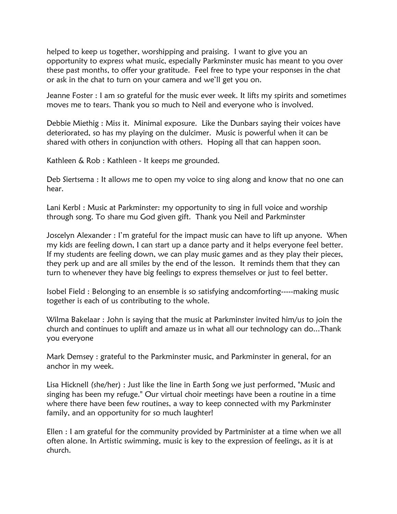helped to keep us together, worshipping and praising. I want to give you an opportunity to express what music, especially Parkminster music has meant to you over these past months, to offer your gratitude. Feel free to type your responses in the chat or ask in the chat to turn on your camera and we'll get you on.

Jeanne Foster : I am so grateful for the music ever week. It lifts my spirits and sometimes moves me to tears. Thank you so much to Neil and everyone who is involved.

Debbie Miethig : Miss it. Minimal exposure. Like the Dunbars saying their voices have deteriorated, so has my playing on the dulcimer. Music is powerful when it can be shared with others in conjunction with others. Hoping all that can happen soon.

Kathleen & Rob : Kathleen - It keeps me grounded.

Deb Siertsema : It allows me to open my voice to sing along and know that no one can hear.

Lani Kerbl : Music at Parkminster: my opportunity to sing in full voice and worship through song. To share mu God given gift. Thank you Neil and Parkminster

Joscelyn Alexander : I'm grateful for the impact music can have to lift up anyone. When my kids are feeling down, I can start up a dance party and it helps everyone feel better. If my students are feeling down, we can play music games and as they play their pieces, they perk up and are all smiles by the end of the lesson. It reminds them that they can turn to whenever they have big feelings to express themselves or just to feel better.

Isobel Field : Belonging to an ensemble is so satisfying andcomforting-----making music together is each of us contributing to the whole.

Wilma Bakelaar : John is saying that the music at Parkminster invited him/us to join the church and continues to uplift and amaze us in what all our technology can do...Thank you everyone

Mark Demsey : grateful to the Parkminster music, and Parkminster in general, for an anchor in my week.

Lisa Hicknell (she/her) : Just like the line in Earth Song we just performed, "Music and singing has been my refuge." Our virtual choir meetings have been a routine in a time where there have been few routines, a way to keep connected with my Parkminster family, and an opportunity for so much laughter!

Ellen : I am grateful for the community provided by Partminister at a time when we all often alone. In Artistic swimming, music is key to the expression of feelings, as it is at church.